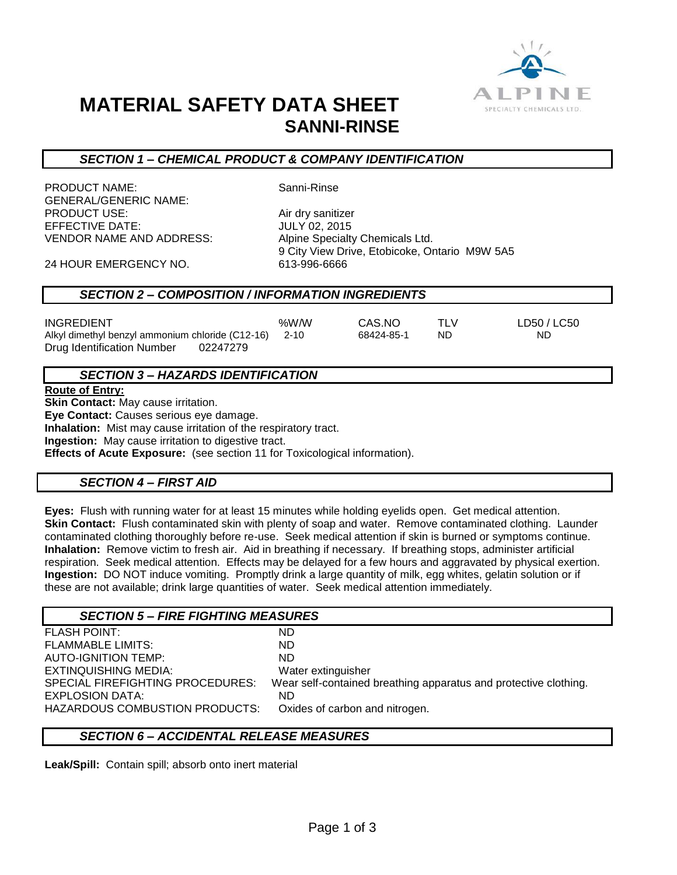

## **MATERIAL SAFETY DATA SHEET SANNI-RINSE**

#### *SECTION 1 – CHEMICAL PRODUCT & COMPANY IDENTIFICATION*

PRODUCT NAME: Sanni-Rinse GENERAL/GENERIC NAME: PRODUCT USE: Air dry sanitizer **EFFECTIVE DATE:** VENDOR NAME AND ADDRESS: Alpine Specialty Chemicals Ltd.

9 City View Drive, Etobicoke, Ontario M9W 5A5

24 HOUR EMERGENCY NO. 613-996-6666

#### *SECTION 2 – COMPOSITION / INFORMATION INGREDIENTS*

| <b>INGREDIENT</b>                                     | %W/W | CAS.NO     |    | LD50 / LC50 |
|-------------------------------------------------------|------|------------|----|-------------|
| Alkyl dimethyl benzyl ammonium chloride (C12-16) 2-10 |      | 68424-85-1 | ND | ND.         |
| Drug Identification Number<br>02247279                |      |            |    |             |

#### *SECTION 3 – HAZARDS IDENTIFICATION*

**Route of Entry:**

**Skin Contact:** May cause irritation. **Eye Contact:** Causes serious eye damage. **Inhalation:** Mist may cause irritation of the respiratory tract. **Ingestion:** May cause irritation to digestive tract. **Effects of Acute Exposure:** (see section 11 for Toxicological information).

## *SECTION 4 – FIRST AID*

**Eyes:** Flush with running water for at least 15 minutes while holding eyelids open. Get medical attention. **Skin Contact:** Flush contaminated skin with plenty of soap and water. Remove contaminated clothing. Launder contaminated clothing thoroughly before re-use. Seek medical attention if skin is burned or symptoms continue. **Inhalation:** Remove victim to fresh air. Aid in breathing if necessary. If breathing stops, administer artificial respiration. Seek medical attention. Effects may be delayed for a few hours and aggravated by physical exertion. **Ingestion:** DO NOT induce vomiting. Promptly drink a large quantity of milk, egg whites, gelatin solution or if these are not available; drink large quantities of water. Seek medical attention immediately.

### *SECTION 5 – FIRE FIGHTING MEASURES*

| <b>FLASH POINT:</b>              | ND                                                               |
|----------------------------------|------------------------------------------------------------------|
| <b>FLAMMABLE LIMITS:</b>         | ND.                                                              |
| <b>AUTO-IGNITION TEMP:</b>       | ND.                                                              |
| EXTINQUISHING MEDIA:             | Water extinguisher                                               |
| SPECIAL FIREFIGHTING PROCEDURES: | Wear self-contained breathing apparatus and protective clothing. |
| EXPLOSION DATA:                  | ND.                                                              |
| HAZARDOUS COMBUSTION PRODUCTS:   | Oxides of carbon and nitrogen.                                   |
|                                  |                                                                  |

## *SECTION 6 – ACCIDENTAL RELEASE MEASURES*

**Leak/Spill:** Contain spill; absorb onto inert material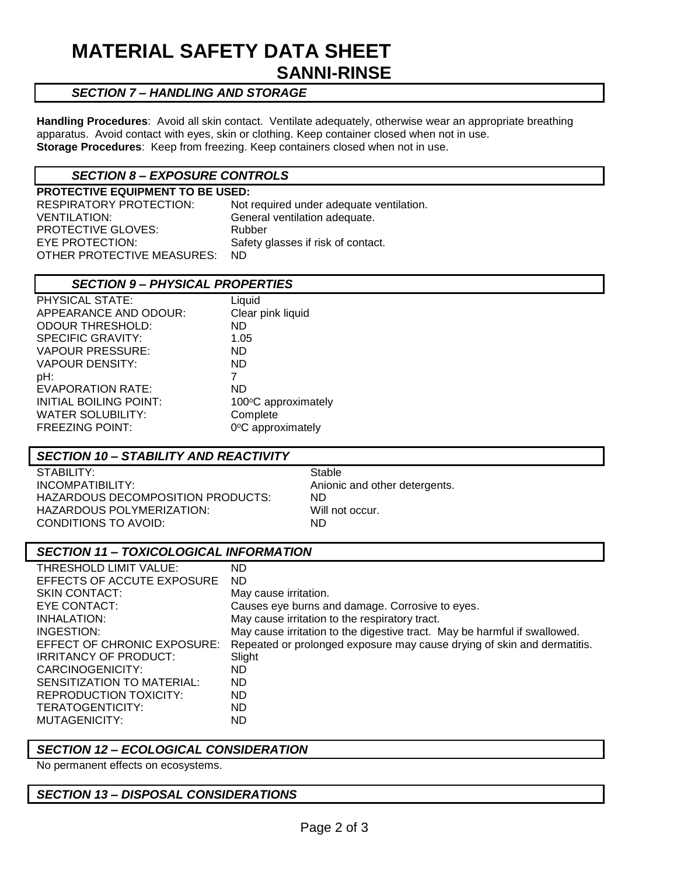## **MATERIAL SAFETY DATA SHEET SANNI-RINSE**

### *SECTION 7 – HANDLING AND STORAGE*

**Handling Procedures**: Avoid all skin contact. Ventilate adequately, otherwise wear an appropriate breathing apparatus. Avoid contact with eyes, skin or clothing. Keep container closed when not in use. **Storage Procedures**: Keep from freezing. Keep containers closed when not in use.

#### *SECTION 8 – EXPOSURE CONTROLS*

**PROTECTIVE EQUIPMENT TO BE USED:** RESPIRATORY PROTECTION: Not required under adequate ventilation. VENTILATION: General ventilation adequate. PROTECTIVE GLOVES: Rubber EYE PROTECTION: Safety glasses if risk of contact. OTHER PROTECTIVE MEASURES: ND

#### *SECTION 9 – PHYSICAL PROPERTIES*

| PHYSICAL STATE:          | Liquid              |
|--------------------------|---------------------|
| APPEARANCE AND ODOUR:    | Clear pink liquid   |
| <b>ODOUR THRESHOLD:</b>  | ND.                 |
| <b>SPECIFIC GRAVITY:</b> | 1.05                |
| <b>VAPOUR PRESSURE:</b>  | ND.                 |
| <b>VAPOUR DENSITY:</b>   | ND.                 |
| pH:                      | 7                   |
| <b>EVAPORATION RATE:</b> | <b>ND</b>           |
| INITIAL BOILING POINT:   | 100°C approximately |
| <b>WATER SOLUBILITY:</b> | Complete            |
| <b>FREEZING POINT:</b>   | 0°C approximately   |

#### *SECTION 10 – STABILITY AND REACTIVITY*

STABILITY: STABILITY: INCOMPATIBILITY: Anionic and other detergents. HAZARDOUS DECOMPOSITION PRODUCTS: ND HAZARDOUS POLYMERIZATION: Will not occur. CONDITIONS TO AVOID: ND

#### *SECTION 11 – TOXICOLOGICAL INFORMATION*

| THRESHOLD LIMIT VALUE:       | ND                                                                        |
|------------------------------|---------------------------------------------------------------------------|
| EFFECTS OF ACCUTE EXPOSURE   | <b>ND</b>                                                                 |
| <b>SKIN CONTACT:</b>         | May cause irritation.                                                     |
| EYE CONTACT:                 | Causes eye burns and damage. Corrosive to eyes.                           |
| INHALATION:                  | May cause irritation to the respiratory tract.                            |
| INGESTION:                   | May cause irritation to the digestive tract. May be harmful if swallowed. |
| EFFECT OF CHRONIC EXPOSURE:  | Repeated or prolonged exposure may cause drying of skin and dermatitis.   |
| <b>IRRITANCY OF PRODUCT:</b> | Slight                                                                    |
| CARCINOGENICITY:             | ND.                                                                       |
| SENSITIZATION TO MATERIAL:   | <b>ND</b>                                                                 |
| REPRODUCTION TOXICITY:       | ND.                                                                       |
| TERATOGENTICITY:             | ND.                                                                       |
| MUTAGENICITY:                | ND                                                                        |

#### *SECTION 12 – ECOLOGICAL CONSIDERATION*

No permanent effects on ecosystems.

#### *SECTION 13 – DISPOSAL CONSIDERATIONS*